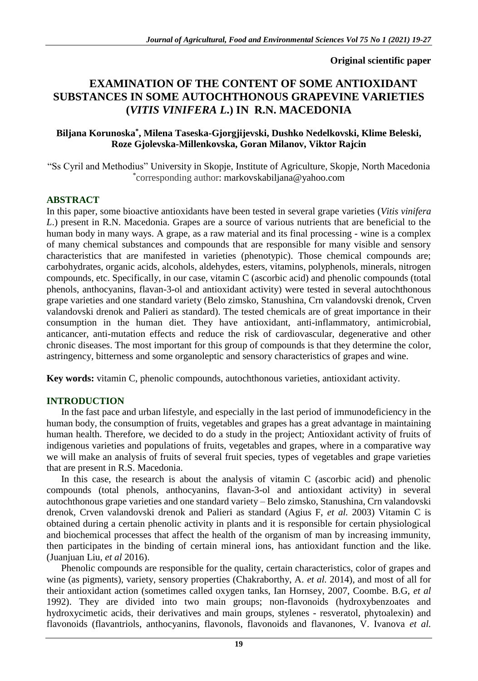**Original scientific paper**

# **EXAMINATION OF THE CONTENT OF SOME ANTIOXIDANT SUBSTANCES IN SOME AUTOCHTHONOUS GRAPEVINE VARIETIES (***VITIS VINIFERA L***.) IN R.N. MACEDONIA**

#### **Biljana Korunoska\* , Milena Taseska-Gjorgjijevski, Dushko Nedelkovski, Klime Beleski, Roze Gjolevska-Millenkovska, Goran Milanov, Viktor Rajcin**

"Ss Cyril and Methodius" University in Skopje, Institute of Agriculture, Skopje, North Macedonia \* corresponding author: markovskabiljana@yahoo.com

### **ABSTRACT**

In this paper, some bioactive antioxidants have been tested in several grape varieties (*Vitis vinifera L*.) present in R.N. Macedonia. Grapes are a source of various nutrients that are beneficial to the human body in many ways. A grape, as a raw material and its final processing - wine is a complex of many chemical substances and compounds that are responsible for many visible and sensory characteristics that are manifested in varieties (phenotypic). Those chemical compounds are; carbohydrates, organic acids, alcohols, aldehydes, esters, vitamins, polyphenols, minerals, nitrogen compounds, etc. Specifically, in our case, vitamin C (ascorbic acid) and phenolic compounds (total phenols, anthocyanins, flavan-3-ol and antioxidant activity) were tested in several autochthonous grape varieties and one standard variety (Belo zimsko, Stanushina, Crn valandovski drenok, Crven valandovski drenok and Palieri as standard). The tested chemicals are of great importance in their consumption in the human diet. They have antioxidant, anti-inflammatory, antimicrobial, anticancer, anti-mutation effects and reduce the risk of cardiovascular, degenerative and other chronic diseases. The most important for this group of compounds is that they determine the color, astringency, bitterness and some organoleptic and sensory characteristics of grapes and wine.

**Key words:** vitamin C, phenolic compounds, autochthonous varieties, antioxidant activity.

#### **INTRODUCTION**

In the fast pace and urban lifestyle, and especially in the last period of immunodeficiency in the human body, the consumption of fruits, vegetables and grapes has a great advantage in maintaining human health. Therefore, we decided to do a study in the project; Antioxidant activity of fruits of indigenous varieties and populations of fruits, vegetables and grapes, where in a comparative way we will make an analysis of fruits of several fruit species, types of vegetables and grape varieties that are present in R.S. Macedonia.

In this case, the research is about the analysis of vitamin C (ascorbic acid) and phenolic compounds (total phenols, anthocyanins, flavan-3-ol and antioxidant activity) in several autochthonous grape varieties and one standard variety – Belo zimsko, Stanushina, Crn valandovski drenok, Crven valandovski drenok and Palieri as standard (Agius F, *et al.* 2003) Vitamin C is obtained during a certain phenolic activity in plants and it is responsible for certain physiological and biochemical processes that affect the health of the organism of man by increasing immunity, then participates in the binding of certain mineral ions, has antioxidant function and the like. (Juanjuan Liu, *et al* 2016).

Phenolic compounds are responsible for the quality, certain characteristics, color of grapes and wine (as pigments), variety, sensory properties (Chakraborthy, A. *et al.* 2014), and most of all for their antioxidant action (sometimes called oxygen tanks, Ian Hornsey, 2007, Coombe. B.G, *et al* 1992). They are divided into two main groups; non-flavonoids (hydroxybenzoates and hydroxycimetic acids, their derivatives and main groups, stylenes - resveratol, phytoalexin) and flavonoids (flavantriols, anthocyanins, flavonols, flavonoids and flavanones, V. Ivanova *et al.*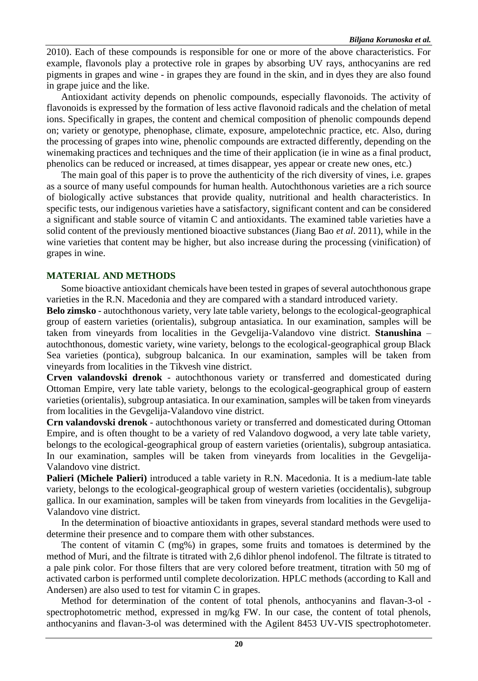2010). Each of these compounds is responsible for one or more of the above characteristics. For example, flavonols play a protective role in grapes by absorbing UV rays, anthocyanins are red pigments in grapes and wine - in grapes they are found in the skin, and in dyes they are also found in grape juice and the like.

Antioxidant activity depends on phenolic compounds, especially flavonoids. The activity of flavonoids is expressed by the formation of less active flavonoid radicals and the chelation of metal ions. Specifically in grapes, the content and chemical composition of phenolic compounds depend on; variety or genotype, phenophase, climate, exposure, ampelotechnic practice, etc. Also, during the processing of grapes into wine, phenolic compounds are extracted differently, depending on the winemaking practices and techniques and the time of their application (ie in wine as a final product, phenolics can be reduced or increased, at times disappear, yes appear or create new ones, etc.)

The main goal of this paper is to prove the authenticity of the rich diversity of vines, i.e. grapes as a source of many useful compounds for human health. Autochthonous varieties are a rich source of biologically active substances that provide quality, nutritional and health characteristics. In specific tests, our indigenous varieties have a satisfactory, significant content and can be considered a significant and stable source of vitamin C and antioxidants. The examined table varieties have a solid content of the previously mentioned bioactive substances (Jiang Bao *et al*. 2011), while in the wine varieties that content may be higher, but also increase during the processing (vinification) of grapes in wine.

#### **MATERIAL AND METHODS**

Some bioactive antioxidant chemicals have been tested in grapes of several autochthonous grape varieties in the R.N. Macedonia and they are compared with a standard introduced variety.

**Belo zimsko** - autochthonous variety, very late table variety, belongs to the ecological-geographical group of eastern varieties (orientalis), subgroup antasiatica. In our examination, samples will be taken from vineyards from localities in the Gevgelija-Valandovo vine district. **Stanushina** – autochthonous, domestic variety, wine variety, belongs to the ecological-geographical group Black Sea varieties (pontica), subgroup balcanica. In our examination, samples will be taken from vineyards from localities in the Tikvesh vine district.

**Crven valandovski drenok** - autochthonous variety or transferred and domesticated during Ottoman Empire, very late table variety, belongs to the ecological-geographical group of eastern varieties (orientalis), subgroup antasiatica. In our examination, samples will be taken from vineyards from localities in the Gevgelija-Valandovo vine district.

**Crn valandovski drenok** - autochthonous variety or transferred and domesticated during Ottoman Empire, and is often thought to be a variety of red Valandovo dogwood, a very late table variety, belongs to the ecological-geographical group of eastern varieties (orientalis), subgroup antasiatica. In our examination, samples will be taken from vineyards from localities in the Gevgelija-Valandovo vine district.

**Palieri (Michele Palieri)** introduced a table variety in R.N. Macedonia. It is a medium-late table variety, belongs to the ecological-geographical group of western varieties (occidentalis), subgroup gallica. In our examination, samples will be taken from vineyards from localities in the Gevgelija-Valandovo vine district.

In the determination of bioactive antioxidants in grapes, several standard methods were used to determine their presence and to compare them with other substances.

The content of vitamin C (mg%) in grapes, some fruits and tomatoes is determined by the method of Muri, and the filtrate is titrated with 2,6 dihlor phenol indofenol. The filtrate is titrated to a pale pink color. For those filters that are very colored before treatment, titration with 50 mg of activated carbon is performed until complete decolorization. HPLC methods (according to Kall and Andersen) are also used to test for vitamin C in grapes.

Method for determination of the content of total phenols, anthocyanins and flavan-3-ol spectrophotometric method, expressed in mg/kg FW. In our case, the content of total phenols, anthocyanins and flavan-3-ol was determined with the Agilent 8453 UV-VIS spectrophotometer.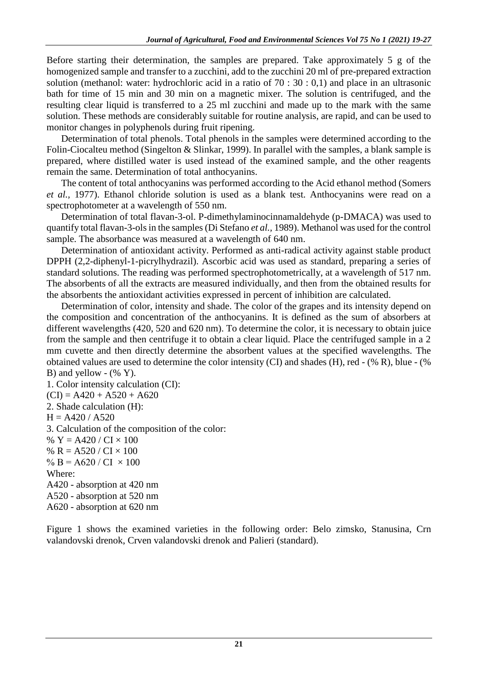Before starting their determination, the samples are prepared. Take approximately 5 g of the homogenized sample and transfer to a zucchini, add to the zucchini 20 ml of pre-prepared extraction solution (methanol: water: hydrochloric acid in a ratio of 70 : 30 : 0,1) and place in an ultrasonic bath for time of 15 min and 30 min on a magnetic mixer. The solution is centrifuged, and the resulting clear liquid is transferred to a 25 ml zucchini and made up to the mark with the same solution. These methods are considerably suitable for routine analysis, are rapid, and can be used to monitor changes in polyphenols during fruit ripening.

Determination of total phenols. Total phenols in the samples were determined according to the Folin-Ciocalteu method (Singelton & Slinkar, 1999). In parallel with the samples, a blank sample is prepared, where distilled water is used instead of the examined sample, and the other reagents remain the same. Determination of total anthocyanins.

The content of total anthocyanins was performed according to the Acid ethanol method (Somers *et al.,* 1977). Ethanol chloride solution is used as a blank test. Anthocyanins were read on a spectrophotometer at a wavelength of 550 nm.

Determination of total flavan-3-ol. P-dimethylaminocinnamaldehyde (p-DMACA) was used to quantify total flavan-3-ols in the samples (Di Stefano *et al.,* 1989). Methanol was used for the control sample. The absorbance was measured at a wavelength of 640 nm.

Determination of antioxidant activity. Performed as anti-radical activity against stable product DPPH (2,2-diphenyl-1-picrylhydrazil). Ascorbic acid was used as standard, preparing a series of standard solutions. The reading was performed spectrophotometrically, at a wavelength of 517 nm. The absorbents of all the extracts are measured individually, and then from the obtained results for the absorbents the antioxidant activities expressed in percent of inhibition are calculated.

Determination of color, intensity and shade. The color of the grapes and its intensity depend on the composition and concentration of the anthocyanins. It is defined as the sum of absorbers at different wavelengths (420, 520 and 620 nm). To determine the color, it is necessary to obtain juice from the sample and then centrifuge it to obtain a clear liquid. Place the centrifuged sample in a 2 mm cuvette and then directly determine the absorbent values at the specified wavelengths. The obtained values are used to determine the color intensity (CI) and shades (H), red - (% R), blue - (% B) and yellow  $-$  (% Y).

1. Color intensity calculation (CI):  $(CI) = A420 + A520 + A620$ 2. Shade calculation (H):  $H = A420 / A520$ 3. Calculation of the composition of the color: %  $Y = A420 / CI \times 100$ % R = A520 / CI  $\times$  100 % B =  $A620 / CI \times 100$ Where: A420 - absorption at 420 nm A520 - absorption at 520 nm A620 - absorption at 620 nm

Figure 1 shows the examined varieties in the following order: Belo zimsko, Stanusina, Crn valandovski drenok, Crven valandovski drenok and Palieri (standard).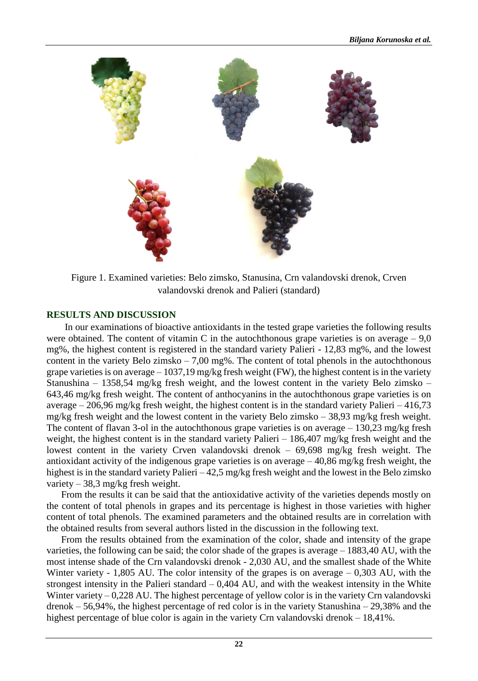

Figure 1. Examined varieties: Belo zimsko, Stanusina, Crn valandovski drenok, Crven valandovski drenok and Palieri (standard)

### **RESULTS AND DISCUSSION**

In our examinations of bioactive antioxidants in the tested grape varieties the following results were obtained. The content of vitamin C in the autochthonous grape varieties is on average  $-9.0$ mg%, the highest content is registered in the standard variety Palieri - 12,83 mg%, and the lowest content in the variety Belo zimsko  $-7,00$  mg%. The content of total phenols in the autochthonous grape varieties is on average – 1037,19 mg/kg fresh weight (FW), the highest content is in the variety Stanushina – 1358,54 mg/kg fresh weight, and the lowest content in the variety Belo zimsko – 643,46 mg/kg fresh weight. The content of anthocyanins in the autochthonous grape varieties is on average – 206,96 mg/kg fresh weight, the highest content is in the standard variety Palieri – 416,73 mg/kg fresh weight and the lowest content in the variety Belo zimsko – 38,93 mg/kg fresh weight. The content of flavan 3-ol in the autochthonous grape varieties is on average  $-130,23$  mg/kg fresh weight, the highest content is in the standard variety Palieri – 186,407 mg/kg fresh weight and the lowest content in the variety Crven valandovski drenok – 69,698 mg/kg fresh weight. The antioxidant activity of the indigenous grape varieties is on average – 40,86 mg/kg fresh weight, the highest is in the standard variety Palieri – 42,5 mg/kg fresh weight and the lowest in the Belo zimsko variety – 38,3 mg/kg fresh weight.

From the results it can be said that the antioxidative activity of the varieties depends mostly on the content of total phenols in grapes and its percentage is highest in those varieties with higher content of total phenols. The examined parameters and the obtained results are in correlation with the obtained results from several authors listed in the discussion in the following text.

From the results obtained from the examination of the color, shade and intensity of the grape varieties, the following can be said; the color shade of the grapes is average – 1883,40 AU, with the most intense shade of the Crn valandovski drenok - 2,030 AU, and the smallest shade of the White Winter variety - 1,805 AU. The color intensity of the grapes is on average – 0,303 AU, with the strongest intensity in the Palieri standard  $-0.404$  AU, and with the weakest intensity in the White Winter variety – 0,228 AU. The highest percentage of yellow color is in the variety Crn valandovski drenok – 56,94%, the highest percentage of red color is in the variety Stanushina – 29,38% and the highest percentage of blue color is again in the variety Crn valandovski drenok – 18,41%.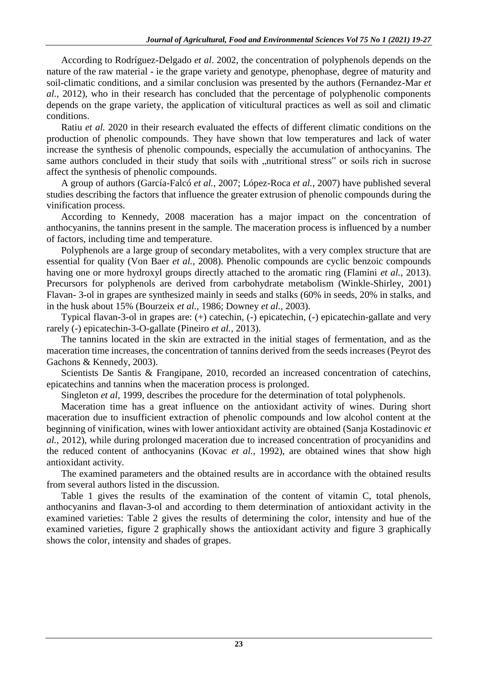According to Rodríguez-Delgado *et al*. 2002, the concentration of polyphenols depends on the nature of the raw material - ie the grape variety and genotype, phenophase, degree of maturity and soil-climatic conditions, and a similar conclusion was presented by the authors (Fernandez-Mar *et al.,* 2012), who in their research has concluded that the percentage of polyphenolic components depends on the grape variety, the application of viticultural practices as well as soil and climatic conditions.

Ratiu *et al.* 2020 in their research evaluated the effects of different climatic conditions on the production of phenolic compounds. They have shown that low temperatures and lack of water increase the synthesis of phenolic compounds, especially the accumulation of anthocyanins. The same authors concluded in their study that soils with "nutritional stress" or soils rich in sucrose affect the synthesis of phenolic compounds.

A group of authors (García-Falcó *et al.,* 2007; López-Roca *et al.,* 2007) have published several studies describing the factors that influence the greater extrusion of phenolic compounds during the vinification process.

According to Kennedy, 2008 maceration has a major impact on the concentration of anthocyanins, the tannins present in the sample. The maceration process is influenced by a number of factors, including time and temperature.

Polyphenols are a large group of secondary metabolites, with a very complex structure that are essential for quality (Von Baer *et al.,* 2008). Phenolic compounds are cyclic benzoic compounds having one or more hydroxyl groups directly attached to the aromatic ring (Flamini *et al.,* 2013). Precursors for polyphenols are derived from carbohydrate metabolism (Winkle-Shirley, 2001) Flavan- 3-ol in grapes are synthesized mainly in seeds and stalks (60% in seeds, 20% in stalks, and in the husk about 15% (Bourzeix *et al.,* 1986; Downey *et al.,* 2003).

Typical flavan-3-ol in grapes are: (+) catechin, (-) epicatechin, (-) epicatechin-gallate and very rarely (-) epicatechin-3-O-gallate (Pineiro *et al.,* 2013).

The tannins located in the skin are extracted in the initial stages of fermentation, and as the maceration time increases, the concentration of tannins derived from the seeds increases (Peyrot des Gachons & Kennedy, 2003).

Scientists De Santis & Frangipane, 2010, recorded an increased concentration of catechins, epicatechins and tannins when the maceration process is prolonged.

Singleton *et al,* 1999, describes the procedure for the determination of total polyphenols.

Maceration time has a great influence on the antioxidant activity of wines. During short maceration due to insufficient extraction of phenolic compounds and low alcohol content at the beginning of vinification, wines with lower antioxidant activity are obtained (Sanja Kostadinovic *et al.,* 2012), while during prolonged maceration due to increased concentration of procyanidins and the reduced content of anthocyanins (Kovac *et al.,* 1992), are obtained wines that show high antioxidant activity.

The examined parameters and the obtained results are in accordance with the obtained results from several authors listed in the discussion.

Table 1 gives the results of the examination of the content of vitamin C, total phenols, anthocyanins and flavan-3-ol and according to them determination of antioxidant activity in the examined varieties: Table 2 gives the results of determining the color, intensity and hue of the examined varieties, figure 2 graphically shows the antioxidant activity and figure 3 graphically shows the color, intensity and shades of grapes.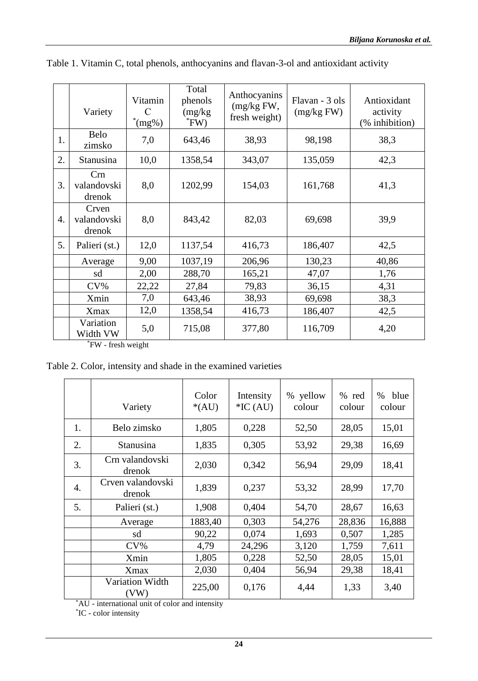|    | Variety                                                                   | Vitamin<br>C<br>(mg%) | Total<br>phenols<br>(mg/kg)<br>$^{\ast}$ FW) | Anthocyanins<br>(mg/kg FW,<br>fresh weight) | Flavan - 3 ols<br>(mg/kg FW) | Antioxidant<br>activity<br>(% inhibition) |
|----|---------------------------------------------------------------------------|-----------------------|----------------------------------------------|---------------------------------------------|------------------------------|-------------------------------------------|
| 1. | Belo<br>zimsko                                                            | 7,0                   | 643,46                                       | 38,93                                       | 98,198                       | 38,3                                      |
| 2. | Stanusina                                                                 | 10,0                  | 1358,54                                      | 343,07                                      | 135,059                      | 42,3                                      |
| 3. | Crn<br>valandovski<br>drenok                                              | 8,0                   | 1202,99                                      | 154,03                                      | 161,768                      | 41,3                                      |
| 4. | Crven<br>valandovski<br>drenok                                            | 8,0                   | 843,42                                       | 82,03                                       | 69,698                       | 39,9                                      |
| 5. | Palieri (st.)                                                             | 12,0                  | 1137,54                                      | 416,73                                      | 186,407                      | 42,5                                      |
|    | Average                                                                   | 9,00                  | 1037,19                                      | 206,96                                      | 130,23                       | 40,86                                     |
|    | sd                                                                        | 2,00                  | 288,70                                       | 165,21                                      | 47,07                        | 1,76                                      |
|    | $CV\%$                                                                    | 22,22                 | 27,84                                        | 79,83                                       | 36,15                        | 4,31                                      |
|    | Xmin                                                                      | 7,0                   | 643,46                                       | 38,93                                       | 69,698                       | 38,3                                      |
|    | <b>X</b> max                                                              | 12,0                  | 1358,54                                      | 416,73                                      | 186,407                      | 42,5                                      |
|    | Variation<br>Width VW<br>$*$ $\Gamma W$ fuech $\mathbf{r}_{\text{total}}$ | 5,0                   | 715,08                                       | 377,80                                      | 116,709                      | 4,20                                      |

Table 1. Vitamin C, total phenols, anthocyanins and flavan-3-ol and antioxidant activity

\*FW - fresh weight

Table 2. Color, intensity and shade in the examined varieties

|                  | Variety                     | Color<br>$*(AU)$ | Intensity<br>$*IC(AU)$ | % yellow<br>colour | % red<br>colour | $\%$<br>blue<br>colour |
|------------------|-----------------------------|------------------|------------------------|--------------------|-----------------|------------------------|
| 1.               | Belo zimsko                 | 1,805            | 0,228                  | 52,50              | 28,05           | 15,01                  |
| 2.               | Stanusina                   | 1,835            | 0,305                  | 53,92              | 29,38           | 16,69                  |
| 3.               | Crn valandovski<br>drenok   | 2,030            | 0,342                  | 56,94              | 29,09           | 18,41                  |
| $\overline{4}$ . | Crven valandovski<br>drenok | 1,839            | 0,237                  | 53,32              | 28,99           | 17,70                  |
| 5.               | Palieri (st.)               | 1,908            | 0,404                  | 54,70              | 28,67           | 16,63                  |
|                  | Average                     | 1883,40          | 0,303                  | 54,276             | 28,836          | 16,888                 |
|                  | sd                          | 90,22            | 0,074                  | 1,693              | 0,507           | 1,285                  |
|                  | $CV\%$                      | 4,79             | 24,296                 | 3,120              | 1,759           | 7,611                  |
|                  | Xmin                        | 1,805            | 0,228                  | 52,50              | 28,05           | 15,01                  |
|                  | <b>X</b> max                | 2,030            | 0,404                  | 56,94              | 29,38           | 18,41                  |
|                  | Variation Width<br>(VW)     | 225,00           | 0,176                  | 4,44               | 1,33            | 3,40                   |

\*AU - international unit of color and intensity \* IC - color intensity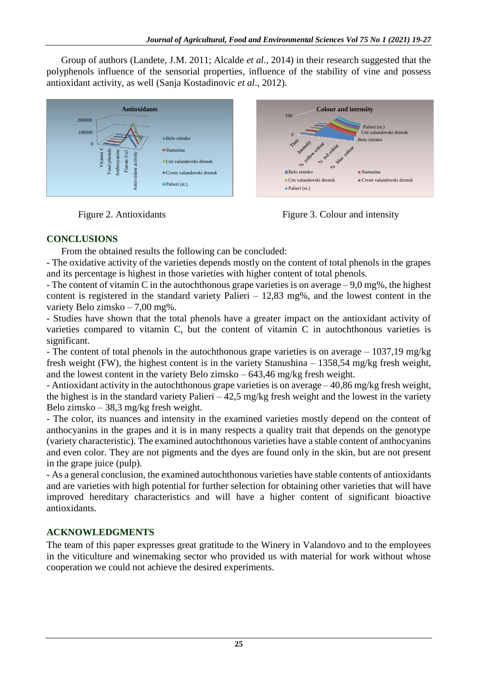Group of authors (Landete, J.M. 2011; Alcalde *et al.,* 2014) in their research suggested that the polyphenols influence of the sensorial properties, influence of the stability of vine and possess antioxidant activity, as well (Sanja Kostadinovic *et al*., 2012).





## **CONCLUSIONS**

From the obtained results the following can be concluded:

- The oxidative activity of the varieties depends mostly on the content of total phenols in the grapes and its percentage is highest in those varieties with higher content of total phenols.

- The content of vitamin C in the autochthonous grape varieties is on average  $-9.0$  mg%, the highest content is registered in the standard variety Palieri – 12,83 mg%, and the lowest content in the variety Belo zimsko – 7,00 mg%.

- Studies have shown that the total phenols have a greater impact on the antioxidant activity of varieties compared to vitamin C, but the content of vitamin C in autochthonous varieties is significant.

- The content of total phenols in the autochthonous grape varieties is on average – 1037,19 mg/kg fresh weight (FW), the highest content is in the variety Stanushina – 1358,54 mg/kg fresh weight, and the lowest content in the variety Belo zimsko – 643,46 mg/kg fresh weight.

- Antioxidant activity in the autochthonous grape varieties is on average – 40,86 mg/kg fresh weight, the highest is in the standard variety Palieri  $-42.5$  mg/kg fresh weight and the lowest in the variety Belo zimsko – 38,3 mg/kg fresh weight.

- The color, its nuances and intensity in the examined varieties mostly depend on the content of anthocyanins in the grapes and it is in many respects a quality trait that depends on the genotype (variety characteristic). The examined autochthonous varieties have a stable content of anthocyanins and even color. They are not pigments and the dyes are found only in the skin, but are not present in the grape juice (pulp).

- As a general conclusion, the examined autochthonous varieties have stable contents of antioxidants and are varieties with high potential for further selection for obtaining other varieties that will have improved hereditary characteristics and will have a higher content of significant bioactive antioxidants.

## **ACKNOWLEDGMENTS**

The team of this paper expresses great gratitude to the Winery in Valandovo and to the employees in the viticulture and winemaking sector who provided us with material for work without whose cooperation we could not achieve the desired experiments.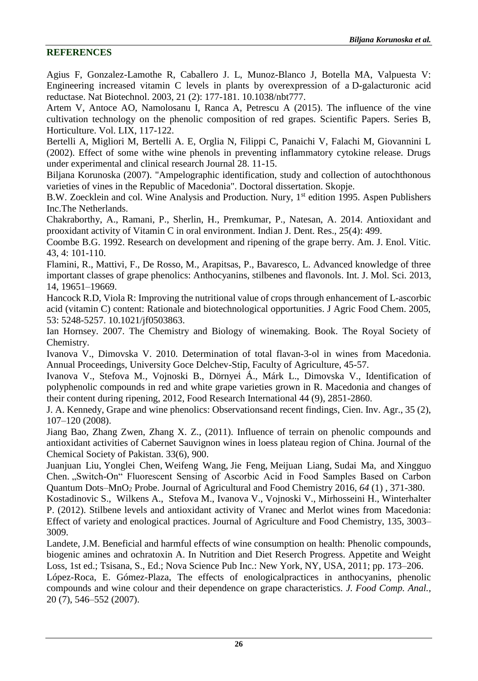#### **REFERENCES**

Agius F, Gonzalez-Lamothe R, Caballero J. L, Munoz-Blanco J, Botella MA, Valpuesta V: Engineering increased vitamin C levels in plants by overexpression of a D-galacturonic acid reductase. Nat Biotechnol. 2003, 21 (2): 177-181. 10.1038/nbt777.

Artem V, Antoce AO, Namolosanu I, Ranca A, Petrescu A (2015). The influence of the vine cultivation technology on the phenolic composition of red grapes. Scientific Papers. Series B, Horticulture. Vol. LIX, 117-122.

Bertelli A, Migliori M, Bertelli A. E, Orglia N, Filippi C, Panaichi V, Falachi M, Giovannini L (2002). Effect of some withe wine phenols in preventing inflammatory cytokine release. Drugs under experimental and clinical research Journal 28. 11-15.

Biljana Korunoska (2007). "Ampelographic identification, study and collection of autochthonous varieties of vines in the Republic of Macedonia". Doctoral dissertation. Skopje.

B.W. Zoecklein and col. Wine Analysis and Production. Nury, 1<sup>st</sup> edition 1995. Aspen Publishers Inc.The Netherlands.

Chakraborthy, A., Ramani, P., Sherlin, H., Premkumar, P., Natesan, A. 2014. Antioxidant and prooxidant activity of Vitamin C in oral environment. Indian J. Dent. Res., 25(4): 499.

Coombe B.G. 1992. Research on development and ripening of the grape berry. Am. J. Enol. Vitic. 43, 4: 101-110.

Flamini, R., Mattivi, F., De Rosso, M., Arapitsas, P., Bavaresco, L. Advanced knowledge of three important classes of grape phenolics: Anthocyanins, stilbenes and flavonols. Int. J. Mol. Sci. 2013, 14, 19651–19669.

Hancock R.D, Viola R: Improving the nutritional value of crops through enhancement of L-ascorbic acid (vitamin C) content: Rationale and biotechnological opportunities. J Agric Food Chem. 2005, 53: 5248-5257. 10.1021/jf0503863.

Ian Hornsey. 2007. The Chemistry and Biology of winemaking. Book. The Royal Society of Chemistry.

Ivanova V., Dimovska V. 2010. Determination of total flavan-3-ol in wines from Macedonia. Annual Proceedings, University Goce Delchev-Stip, Faculty of Agriculture, 45-57.

Ivanova V., Stefova M., Vojnoski B., Dörnyei Á., Márk L., Dimovska V., [Identification of](https://scholar.google.com/citations?view_op=view_citation&hl=en&user=hX7y1nEAAAAJ&pagesize=80&citation_for_view=hX7y1nEAAAAJ:eQOLeE2rZwMC)  [polyphenolic compounds in red and white grape varieties grown in R. Macedonia and changes of](https://scholar.google.com/citations?view_op=view_citation&hl=en&user=hX7y1nEAAAAJ&pagesize=80&citation_for_view=hX7y1nEAAAAJ:eQOLeE2rZwMC)  [their content during ripening,](https://scholar.google.com/citations?view_op=view_citation&hl=en&user=hX7y1nEAAAAJ&pagesize=80&citation_for_view=hX7y1nEAAAAJ:eQOLeE2rZwMC) 2012, Food Research International 44 (9), 2851-2860.

J. A. Kennedy, Grape and wine phenolics: Observationsand recent findings, Cien. Inv. Agr., 35 (2), 107–120 (2008).

Jiang Bao, Zhang Zwen, Zhang X. Z., (2011). Influence of terrain on phenolic compounds and antioxidant activities of Cabernet Sauvignon wines in loess plateau region of China. Journal of the Chemical Society of Pakistan. 33(6), 900.

Juanjuan Liu, Yonglei Chen, Weifeng Wang, Jie Feng, Meijuan Liang, Sudai Ma, and Xingguo Chen. "Switch-On" Fluorescent Sensing of Ascorbic Acid in Food Samples Based on Carbon Quantum Dots–MnO<sup>2</sup> Probe. Journal of Agricultural and Food Chemistry 2016, *64* (1) , 371-380.

Kostadinovic S., Wilkens A., Stefova M., Ivanova V., Vojnoski V., Mirhosseini H., Winterhalter P. (2012). Stilbene levels and antioxidant activity of Vranec and Merlot wines from Macedonia: Effect of variety and enological practices. Journal of Agriculture and Food Chemistry, 135, 3003– 3009.

Landete, J.M. Beneficial and harmful effects of wine consumption on health: Phenolic compounds, biogenic amines and ochratoxin A. In Nutrition and Diet Reserch Progress. Appetite and Weight Loss, 1st ed.; Tsisana, S., Ed.; Nova Science Pub Inc.: New York, NY, USA, 2011; pp. 173–206.

López-Roca, E. Gómez-Plaza, The effects of enologicalpractices in anthocyanins, phenolic compounds and wine colour and their dependence on grape characteristics. *J. Food Comp. Anal.,*  20 (7), 546–552 (2007).